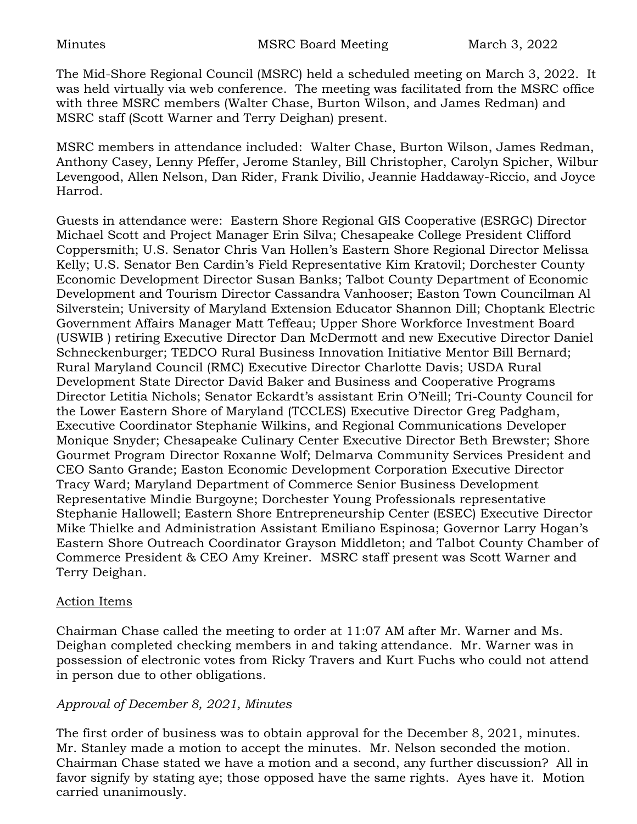The Mid-Shore Regional Council (MSRC) held a scheduled meeting on March 3, 2022. It was held virtually via web conference. The meeting was facilitated from the MSRC office with three MSRC members (Walter Chase, Burton Wilson, and James Redman) and MSRC staff (Scott Warner and Terry Deighan) present.

MSRC members in attendance included: Walter Chase, Burton Wilson, James Redman, Anthony Casey, Lenny Pfeffer, Jerome Stanley, Bill Christopher, Carolyn Spicher, Wilbur Levengood, Allen Nelson, Dan Rider, Frank Divilio, Jeannie Haddaway-Riccio, and Joyce Harrod.

Guests in attendance were: Eastern Shore Regional GIS Cooperative (ESRGC) Director Michael Scott and Project Manager Erin Silva; Chesapeake College President Clifford Coppersmith; U.S. Senator Chris Van Hollen's Eastern Shore Regional Director Melissa Kelly; U.S. Senator Ben Cardin's Field Representative Kim Kratovil; Dorchester County Economic Development Director Susan Banks; Talbot County Department of Economic Development and Tourism Director Cassandra Vanhooser; Easton Town Councilman Al Silverstein; University of Maryland Extension Educator Shannon Dill; Choptank Electric Government Affairs Manager Matt Teffeau; Upper Shore Workforce Investment Board (USWIB ) retiring Executive Director Dan McDermott and new Executive Director Daniel Schneckenburger; TEDCO Rural Business Innovation Initiative Mentor Bill Bernard; Rural Maryland Council (RMC) Executive Director Charlotte Davis; USDA Rural Development State Director David Baker and Business and Cooperative Programs Director Letitia Nichols; Senator Eckardt's assistant Erin O'Neill; Tri-County Council for the Lower Eastern Shore of Maryland (TCCLES) Executive Director Greg Padgham, Executive Coordinator Stephanie Wilkins, and Regional Communications Developer Monique Snyder; Chesapeake Culinary Center Executive Director Beth Brewster; Shore Gourmet Program Director Roxanne Wolf; Delmarva Community Services President and CEO Santo Grande; Easton Economic Development Corporation Executive Director Tracy Ward; Maryland Department of Commerce Senior Business Development Representative Mindie Burgoyne; Dorchester Young Professionals representative Stephanie Hallowell; Eastern Shore Entrepreneurship Center (ESEC) Executive Director Mike Thielke and Administration Assistant Emiliano Espinosa; Governor Larry Hogan's Eastern Shore Outreach Coordinator Grayson Middleton; and Talbot County Chamber of Commerce President & CEO Amy Kreiner. MSRC staff present was Scott Warner and Terry Deighan.

#### Action Items

Chairman Chase called the meeting to order at 11:07 AM after Mr. Warner and Ms. Deighan completed checking members in and taking attendance. Mr. Warner was in possession of electronic votes from Ricky Travers and Kurt Fuchs who could not attend in person due to other obligations.

### *Approval of December 8, 2021, Minutes*

The first order of business was to obtain approval for the December 8, 2021, minutes. Mr. Stanley made a motion to accept the minutes. Mr. Nelson seconded the motion. Chairman Chase stated we have a motion and a second, any further discussion? All in favor signify by stating aye; those opposed have the same rights. Ayes have it. Motion carried unanimously.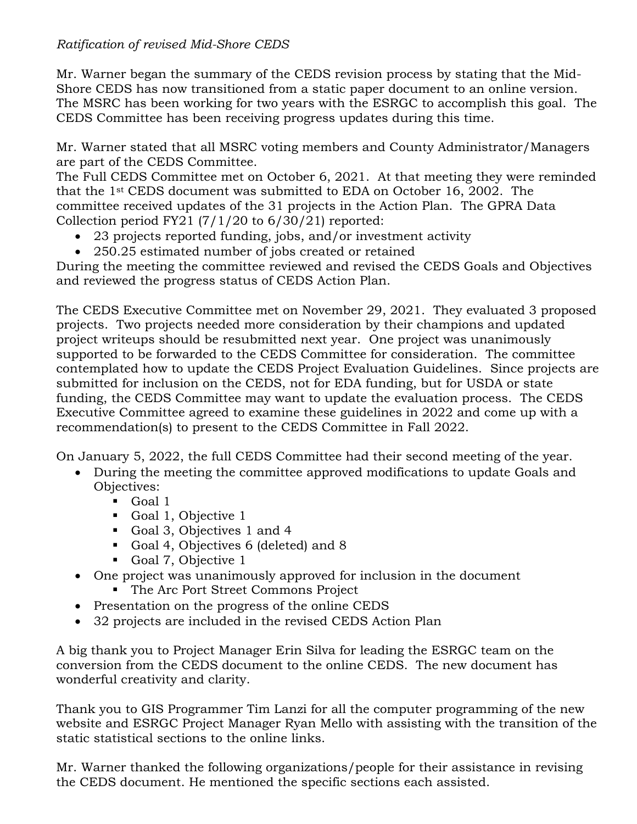### *Ratification of revised Mid-Shore CEDS*

Mr. Warner began the summary of the CEDS revision process by stating that the Mid-Shore CEDS has now transitioned from a static paper document to an online version. The MSRC has been working for two years with the ESRGC to accomplish this goal. The CEDS Committee has been receiving progress updates during this time.

Mr. Warner stated that all MSRC voting members and County Administrator/Managers are part of the CEDS Committee.

The Full CEDS Committee met on October 6, 2021. At that meeting they were reminded that the 1st CEDS document was submitted to EDA on October 16, 2002. The committee received updates of the 31 projects in the Action Plan. The GPRA Data Collection period FY21  $(7/1/20)$  to  $6/30/21$  reported:

- 23 projects reported funding, jobs, and/or investment activity
- 250.25 estimated number of jobs created or retained

During the meeting the committee reviewed and revised the CEDS Goals and Objectives and reviewed the progress status of CEDS Action Plan.

The CEDS Executive Committee met on November 29, 2021. They evaluated 3 proposed projects. Two projects needed more consideration by their champions and updated project writeups should be resubmitted next year. One project was unanimously supported to be forwarded to the CEDS Committee for consideration. The committee contemplated how to update the CEDS Project Evaluation Guidelines. Since projects are submitted for inclusion on the CEDS, not for EDA funding, but for USDA or state funding, the CEDS Committee may want to update the evaluation process. The CEDS Executive Committee agreed to examine these guidelines in 2022 and come up with a recommendation(s) to present to the CEDS Committee in Fall 2022.

On January 5, 2022, the full CEDS Committee had their second meeting of the year.

- During the meeting the committee approved modifications to update Goals and Objectives:
	- Goal 1
	- Goal 1, Objective 1
	- Goal 3, Objectives 1 and 4
	- Goal 4, Objectives 6 (deleted) and 8
	- Goal 7, Objective 1
- One project was unanimously approved for inclusion in the document
	- The Arc Port Street Commons Project
- Presentation on the progress of the online CEDS
- 32 projects are included in the revised CEDS Action Plan

A big thank you to Project Manager Erin Silva for leading the ESRGC team on the conversion from the CEDS document to the online CEDS. The new document has wonderful creativity and clarity.

Thank you to GIS Programmer Tim Lanzi for all the computer programming of the new website and ESRGC Project Manager Ryan Mello with assisting with the transition of the static statistical sections to the online links.

Mr. Warner thanked the following organizations/people for their assistance in revising the CEDS document. He mentioned the specific sections each assisted.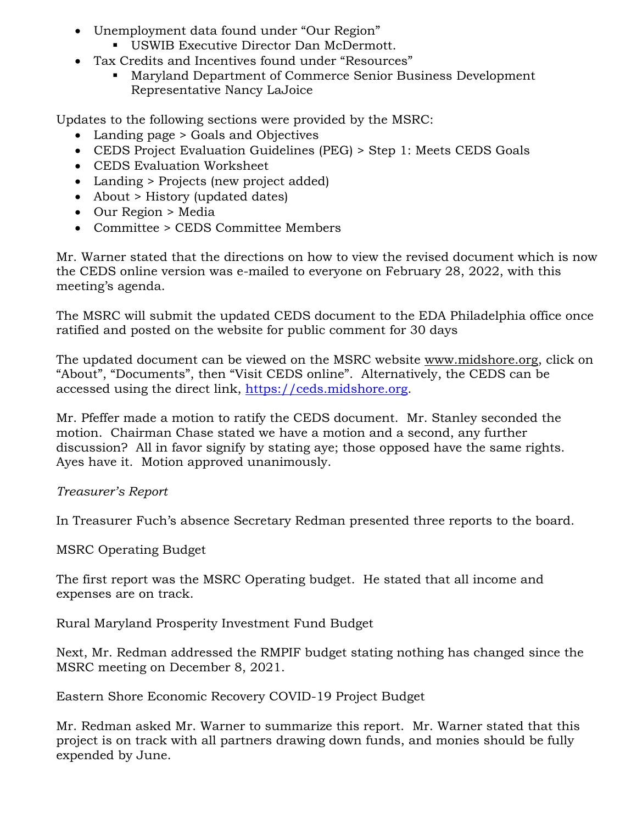- Unemployment data found under "Our Region"
	- **USWIB Executive Director Dan McDermott.**
- Tax Credits and Incentives found under "Resources"
	- Maryland Department of Commerce Senior Business Development Representative Nancy LaJoice

Updates to the following sections were provided by the MSRC:

- Landing page > Goals and Objectives
- CEDS Project Evaluation Guidelines (PEG) > Step 1: Meets CEDS Goals
- CEDS Evaluation Worksheet
- Landing > Projects (new project added)
- About > History (updated dates)
- Our Region > Media
- Committee > CEDS Committee Members

Mr. Warner stated that the directions on how to view the revised document which is now the CEDS online version was e-mailed to everyone on February 28, 2022, with this meeting's agenda.

The MSRC will submit the updated CEDS document to the EDA Philadelphia office once ratified and posted on the website for public comment for 30 days

The updated document can be viewed on the MSRC website [www.midshore.org,](http://www.midshore.org/) click on "About", "Documents", then "Visit CEDS online". Alternatively, the CEDS can be accessed using the direct link, [https://ceds.midshore.org.](https://ceds.midshore.org/)

Mr. Pfeffer made a motion to ratify the CEDS document. Mr. Stanley seconded the motion. Chairman Chase stated we have a motion and a second, any further discussion? All in favor signify by stating aye; those opposed have the same rights. Ayes have it. Motion approved unanimously.

# *Treasurer's Report*

In Treasurer Fuch's absence Secretary Redman presented three reports to the board.

MSRC Operating Budget

The first report was the MSRC Operating budget. He stated that all income and expenses are on track.

Rural Maryland Prosperity Investment Fund Budget

Next, Mr. Redman addressed the RMPIF budget stating nothing has changed since the MSRC meeting on December 8, 2021.

Eastern Shore Economic Recovery COVID-19 Project Budget

Mr. Redman asked Mr. Warner to summarize this report. Mr. Warner stated that this project is on track with all partners drawing down funds, and monies should be fully expended by June.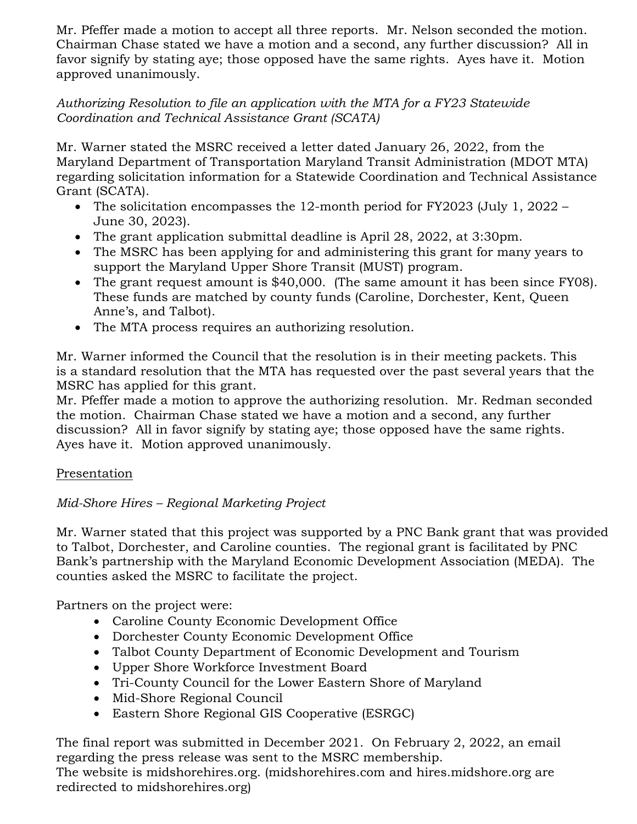Mr. Pfeffer made a motion to accept all three reports. Mr. Nelson seconded the motion. Chairman Chase stated we have a motion and a second, any further discussion? All in favor signify by stating aye; those opposed have the same rights. Ayes have it. Motion approved unanimously.

### *Authorizing Resolution to file an application with the MTA for a FY23 Statewide Coordination and Technical Assistance Grant (SCATA)*

Mr. Warner stated the MSRC received a letter dated January 26, 2022, from the Maryland Department of Transportation Maryland Transit Administration (MDOT MTA) regarding solicitation information for a Statewide Coordination and Technical Assistance Grant (SCATA).

- The solicitation encompasses the 12-month period for FY2023 (July 1, 2022 June 30, 2023).
- The grant application submittal deadline is April 28, 2022, at 3:30pm.
- The MSRC has been applying for and administering this grant for many years to support the Maryland Upper Shore Transit (MUST) program.
- The grant request amount is \$40,000. (The same amount it has been since FY08). These funds are matched by county funds (Caroline, Dorchester, Kent, Queen Anne's, and Talbot).
- The MTA process requires an authorizing resolution.

Mr. Warner informed the Council that the resolution is in their meeting packets. This is a standard resolution that the MTA has requested over the past several years that the MSRC has applied for this grant.

Mr. Pfeffer made a motion to approve the authorizing resolution. Mr. Redman seconded the motion. Chairman Chase stated we have a motion and a second, any further discussion? All in favor signify by stating aye; those opposed have the same rights. Ayes have it. Motion approved unanimously.

# Presentation

# *Mid-Shore Hires – Regional Marketing Project*

Mr. Warner stated that this project was supported by a PNC Bank grant that was provided to Talbot, Dorchester, and Caroline counties. The regional grant is facilitated by PNC Bank's partnership with the Maryland Economic Development Association (MEDA). The counties asked the MSRC to facilitate the project.

Partners on the project were:

- Caroline County Economic Development Office
- Dorchester County Economic Development Office
- Talbot County Department of Economic Development and Tourism
- Upper Shore Workforce Investment Board
- Tri-County Council for the Lower Eastern Shore of Maryland
- Mid-Shore Regional Council
- Eastern Shore Regional GIS Cooperative (ESRGC)

The final report was submitted in December 2021. On February 2, 2022, an email regarding the press release was sent to the MSRC membership.

The website is midshorehires.org. (midshorehires.com and hires.midshore.org are redirected to midshorehires.org)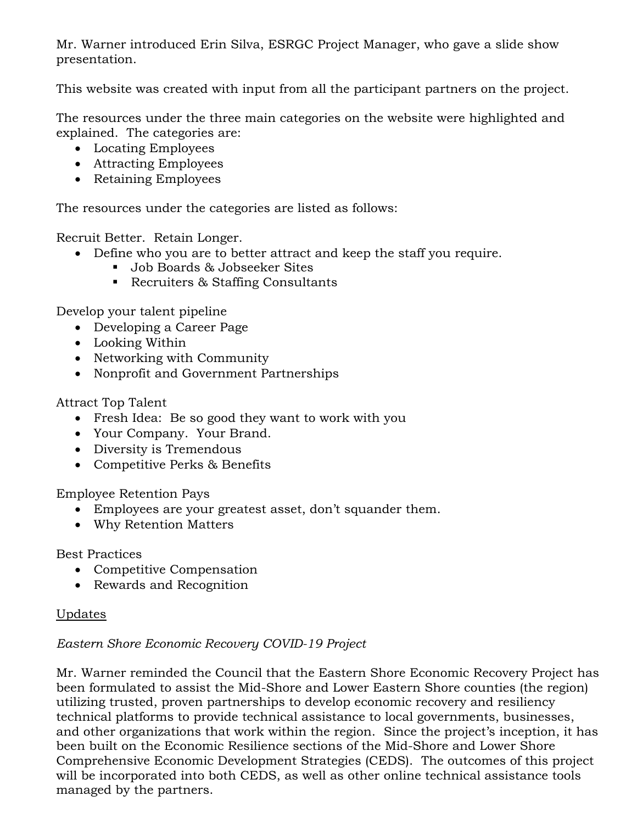Mr. Warner introduced Erin Silva, ESRGC Project Manager, who gave a slide show presentation.

This website was created with input from all the participant partners on the project.

The resources under the three main categories on the website were highlighted and explained. The categories are:

- Locating Employees
- Attracting Employees
- Retaining Employees

The resources under the categories are listed as follows:

Recruit Better. Retain Longer.

- Define who you are to better attract and keep the staff you require.
	- Job Boards & Jobseeker Sites
	- Recruiters & Staffing Consultants

Develop your talent pipeline

- Developing a Career Page
- Looking Within
- Networking with Community
- Nonprofit and Government Partnerships

Attract Top Talent

- Fresh Idea: Be so good they want to work with you
- Your Company. Your Brand.
- Diversity is Tremendous
- Competitive Perks & Benefits

Employee Retention Pays

- Employees are your greatest asset, don't squander them.
- Why Retention Matters

Best Practices

- Competitive Compensation
- Rewards and Recognition

## Updates

## *Eastern Shore Economic Recovery COVID-19 Project*

Mr. Warner reminded the Council that the Eastern Shore Economic Recovery Project has been formulated to assist the Mid-Shore and Lower Eastern Shore counties (the region) utilizing trusted, proven partnerships to develop economic recovery and resiliency technical platforms to provide technical assistance to local governments, businesses, and other organizations that work within the region. Since the project's inception, it has been built on the Economic Resilience sections of the Mid-Shore and Lower Shore Comprehensive Economic Development Strategies (CEDS). The outcomes of this project will be incorporated into both CEDS, as well as other online technical assistance tools managed by the partners.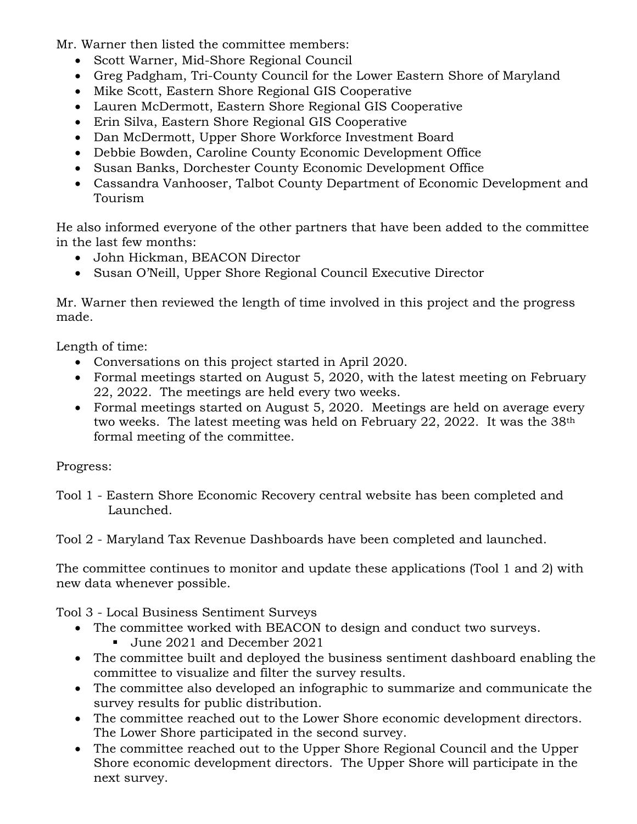Mr. Warner then listed the committee members:

- Scott Warner, Mid-Shore Regional Council
- Greg Padgham, Tri-County Council for the Lower Eastern Shore of Maryland
- Mike Scott, Eastern Shore Regional GIS Cooperative
- Lauren McDermott, Eastern Shore Regional GIS Cooperative
- Erin Silva, Eastern Shore Regional GIS Cooperative
- Dan McDermott, Upper Shore Workforce Investment Board
- Debbie Bowden, Caroline County Economic Development Office
- Susan Banks, Dorchester County Economic Development Office
- Cassandra Vanhooser, Talbot County Department of Economic Development and Tourism

He also informed everyone of the other partners that have been added to the committee in the last few months:

- John Hickman, BEACON Director
- Susan O'Neill, Upper Shore Regional Council Executive Director

Mr. Warner then reviewed the length of time involved in this project and the progress made.

Length of time:

- Conversations on this project started in April 2020.
- Formal meetings started on August 5, 2020, with the latest meeting on February 22, 2022. The meetings are held every two weeks.
- Formal meetings started on August 5, 2020. Meetings are held on average every two weeks. The latest meeting was held on February 22, 2022. It was the 38th formal meeting of the committee.

Progress:

Tool 1 - Eastern Shore Economic Recovery central website has been completed and Launched.

Tool 2 - Maryland Tax Revenue Dashboards have been completed and launched.

The committee continues to monitor and update these applications (Tool 1 and 2) with new data whenever possible.

Tool 3 - Local Business Sentiment Surveys

- The committee worked with BEACON to design and conduct two surveys.
	- June 2021 and December 2021
- The committee built and deployed the business sentiment dashboard enabling the committee to visualize and filter the survey results.
- The committee also developed an infographic to summarize and communicate the survey results for public distribution.
- The committee reached out to the Lower Shore economic development directors. The Lower Shore participated in the second survey.
- The committee reached out to the Upper Shore Regional Council and the Upper Shore economic development directors. The Upper Shore will participate in the next survey.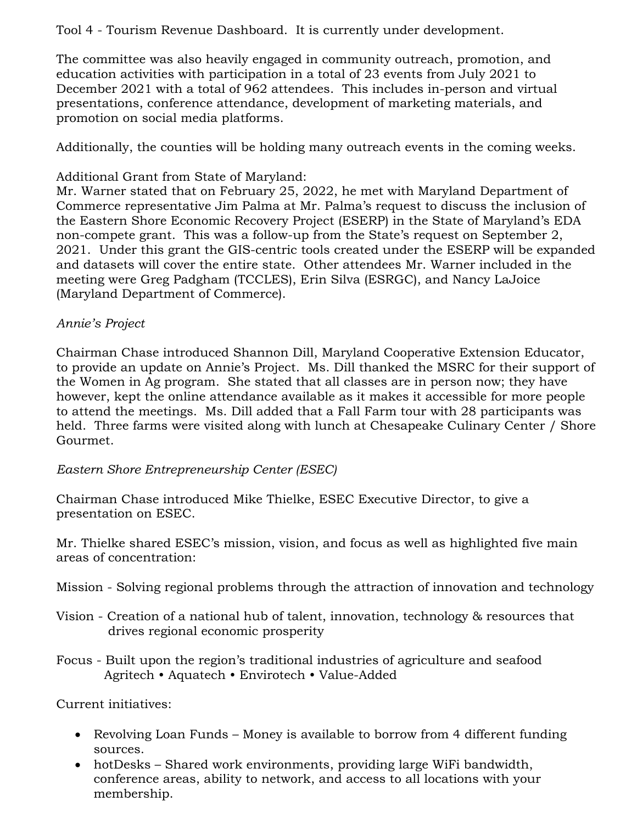#### Tool 4 - Tourism Revenue Dashboard. It is currently under development.

The committee was also heavily engaged in community outreach, promotion, and education activities with participation in a total of 23 events from July 2021 to December 2021 with a total of 962 attendees. This includes in-person and virtual presentations, conference attendance, development of marketing materials, and promotion on social media platforms.

Additionally, the counties will be holding many outreach events in the coming weeks.

### Additional Grant from State of Maryland:

Mr. Warner stated that on February 25, 2022, he met with Maryland Department of Commerce representative Jim Palma at Mr. Palma's request to discuss the inclusion of the Eastern Shore Economic Recovery Project (ESERP) in the State of Maryland's EDA non-compete grant. This was a follow-up from the State's request on September 2, 2021. Under this grant the GIS-centric tools created under the ESERP will be expanded and datasets will cover the entire state. Other attendees Mr. Warner included in the meeting were Greg Padgham (TCCLES), Erin Silva (ESRGC), and Nancy LaJoice (Maryland Department of Commerce).

### *Annie's Project*

Chairman Chase introduced Shannon Dill, Maryland Cooperative Extension Educator, to provide an update on Annie's Project. Ms. Dill thanked the MSRC for their support of the Women in Ag program. She stated that all classes are in person now; they have however, kept the online attendance available as it makes it accessible for more people to attend the meetings. Ms. Dill added that a Fall Farm tour with 28 participants was held. Three farms were visited along with lunch at Chesapeake Culinary Center / Shore Gourmet.

### *Eastern Shore Entrepreneurship Center (ESEC)*

Chairman Chase introduced Mike Thielke, ESEC Executive Director, to give a presentation on ESEC.

Mr. Thielke shared ESEC's mission, vision, and focus as well as highlighted five main areas of concentration:

Mission - Solving regional problems through the attraction of innovation and technology

- Vision Creation of a national hub of talent, innovation, technology & resources that drives regional economic prosperity
- Focus Built upon the region's traditional industries of agriculture and seafood Agritech • Aquatech • Envirotech • Value-Added

Current initiatives:

- Revolving Loan Funds Money is available to borrow from 4 different funding sources.
- hotDesks Shared work environments, providing large WiFi bandwidth, conference areas, ability to network, and access to all locations with your membership.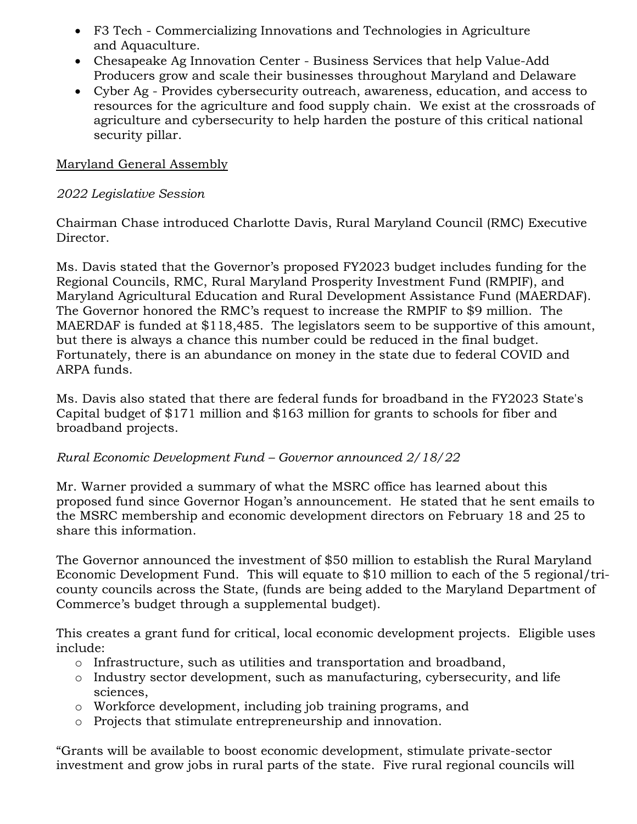- F3 Tech Commercializing Innovations and Technologies in Agriculture and Aquaculture.
- Chesapeake Ag Innovation Center Business Services that help Value-Add Producers grow and scale their businesses throughout Maryland and Delaware
- Cyber Ag Provides cybersecurity outreach, awareness, education, and access to resources for the agriculture and food supply chain. We exist at the crossroads of agriculture and cybersecurity to help harden the posture of this critical national security pillar.

#### Maryland General Assembly

#### *2022 Legislative Session*

Chairman Chase introduced Charlotte Davis, Rural Maryland Council (RMC) Executive Director.

Ms. Davis stated that the Governor's proposed FY2023 budget includes funding for the Regional Councils, RMC, Rural Maryland Prosperity Investment Fund (RMPIF), and Maryland Agricultural Education and Rural Development Assistance Fund (MAERDAF). The Governor honored the RMC's request to increase the RMPIF to \$9 million. The MAERDAF is funded at \$118,485. The legislators seem to be supportive of this amount, but there is always a chance this number could be reduced in the final budget. Fortunately, there is an abundance on money in the state due to federal COVID and ARPA funds.

Ms. Davis also stated that there are federal funds for broadband in the FY2023 State's Capital budget of \$171 million and \$163 million for grants to schools for fiber and broadband projects.

### *Rural Economic Development Fund – Governor announced 2/18/22*

Mr. Warner provided a summary of what the MSRC office has learned about this proposed fund since Governor Hogan's announcement. He stated that he sent emails to the MSRC membership and economic development directors on February 18 and 25 to share this information.

The Governor announced the investment of \$50 million to establish the Rural Maryland Economic Development Fund. This will equate to \$10 million to each of the 5 regional/tricounty councils across the State, (funds are being added to the Maryland Department of Commerce's budget through a supplemental budget).

This creates a grant fund for critical, local economic development projects. Eligible uses include:

- o Infrastructure, such as utilities and transportation and broadband,
- o Industry sector development, such as manufacturing, cybersecurity, and life sciences,
- o Workforce development, including job training programs, and
- o Projects that stimulate entrepreneurship and innovation.

"Grants will be available to boost economic development, stimulate private-sector investment and grow jobs in rural parts of the state. Five rural regional councils will